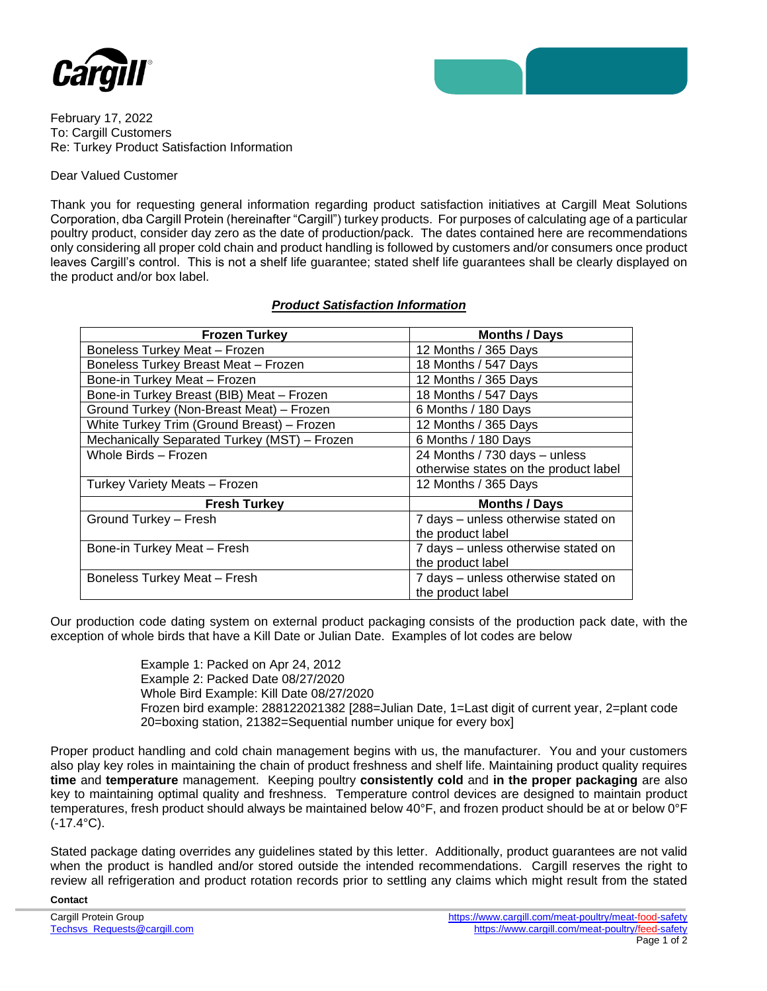



February 17, 2022 To: Cargill Customers Re: Turkey Product Satisfaction Information

## Dear Valued Customer

Thank you for requesting general information regarding product satisfaction initiatives at Cargill Meat Solutions Corporation, dba Cargill Protein (hereinafter "Cargill") turkey products. For purposes of calculating age of a particular poultry product, consider day zero as the date of production/pack. The dates contained here are recommendations only considering all proper cold chain and product handling is followed by customers and/or consumers once product leaves Cargill's control. This is not a shelf life guarantee; stated shelf life guarantees shall be clearly displayed on the product and/or box label.

## *Product Satisfaction Information*

| <b>Frozen Turkey</b>                         | <b>Months / Days</b>                  |
|----------------------------------------------|---------------------------------------|
| <b>Boneless Turkey Meat - Frozen</b>         | 12 Months / 365 Days                  |
| Boneless Turkey Breast Meat - Frozen         | 18 Months / 547 Days                  |
| Bone-in Turkey Meat - Frozen                 | 12 Months / 365 Days                  |
| Bone-in Turkey Breast (BIB) Meat - Frozen    | 18 Months / 547 Days                  |
| Ground Turkey (Non-Breast Meat) - Frozen     | 6 Months / 180 Days                   |
| White Turkey Trim (Ground Breast) - Frozen   | 12 Months / 365 Days                  |
| Mechanically Separated Turkey (MST) - Frozen | 6 Months / 180 Days                   |
| Whole Birds - Frozen                         | 24 Months / 730 days - unless         |
|                                              | otherwise states on the product label |
| Turkey Variety Meats - Frozen                | 12 Months / 365 Days                  |
| <b>Fresh Turkey</b>                          | <b>Months / Days</b>                  |
| Ground Turkey - Fresh                        | 7 days - unless otherwise stated on   |
|                                              | the product label                     |
| Bone-in Turkey Meat - Fresh                  | 7 days - unless otherwise stated on   |
|                                              | the product label                     |
| <b>Boneless Turkey Meat - Fresh</b>          | 7 days - unless otherwise stated on   |
|                                              | the product label                     |

Our production code dating system on external product packaging consists of the production pack date, with the exception of whole birds that have a Kill Date or Julian Date. Examples of lot codes are below

> Example 1: Packed on Apr 24, 2012 Example 2: Packed Date 08/27/2020 Whole Bird Example: Kill Date 08/27/2020 Frozen bird example: 288122021382 [288=Julian Date, 1=Last digit of current year, 2=plant code 20=boxing station, 21382=Sequential number unique for every box]

Proper product handling and cold chain management begins with us, the manufacturer. You and your customers also play key roles in maintaining the chain of product freshness and shelf life. Maintaining product quality requires **time** and **temperature** management. Keeping poultry **consistently cold** and **in the proper packaging** are also key to maintaining optimal quality and freshness. Temperature control devices are designed to maintain product temperatures, fresh product should always be maintained below 40°F, and frozen product should be at or below 0°F (-17.4°C).

Stated package dating overrides any guidelines stated by this letter. Additionally, product guarantees are not valid when the product is handled and/or stored outside the intended recommendations. Cargill reserves the right to review all refrigeration and product rotation records prior to settling any claims which might result from the stated

**Contact**